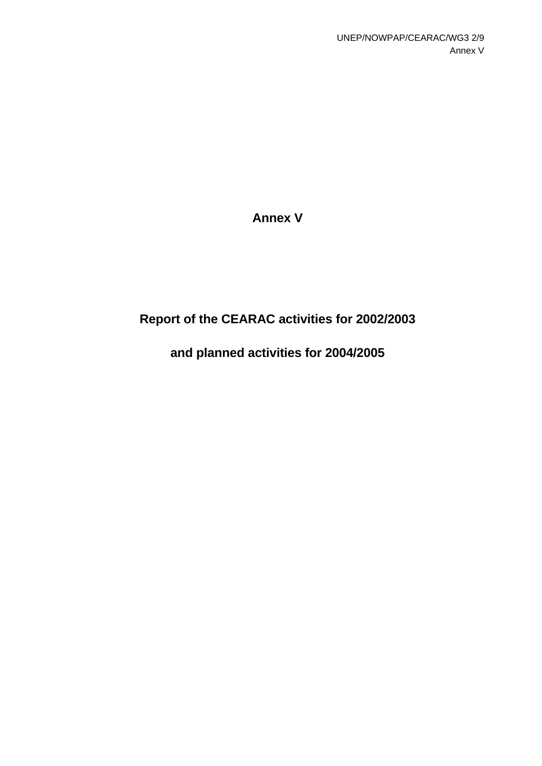**Annex V** 

# **Report of the CEARAC activities for 2002/2003**

# **and planned activities for 2004/2005**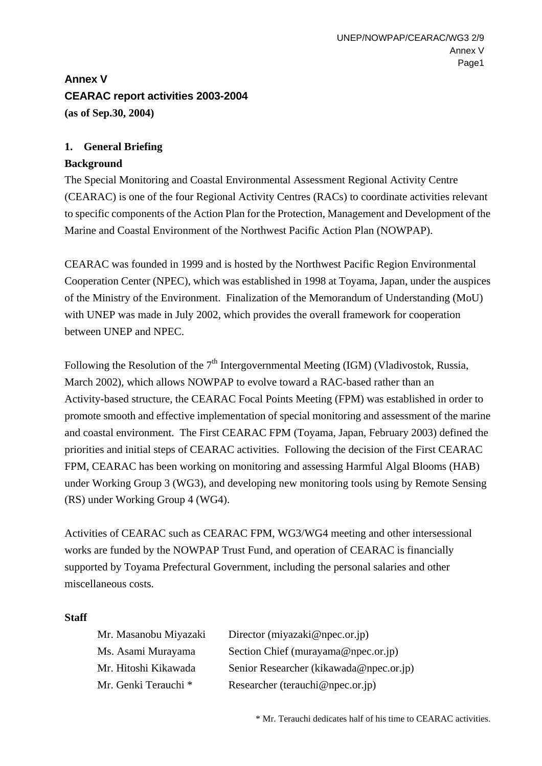# **Annex V CEARAC report activities 2003-2004 (as of Sep.30, 2004)**

## **1. General Briefing**

## **Background**

The Special Monitoring and Coastal Environmental Assessment Regional Activity Centre (CEARAC) is one of the four Regional Activity Centres (RACs) to coordinate activities relevant to specific components of the Action Plan for the Protection, Management and Development of the Marine and Coastal Environment of the Northwest Pacific Action Plan (NOWPAP).

CEARAC was founded in 1999 and is hosted by the Northwest Pacific Region Environmental Cooperation Center (NPEC), which was established in 1998 at Toyama, Japan, under the auspices of the Ministry of the Environment. Finalization of the Memorandum of Understanding (MoU) with UNEP was made in July 2002, which provides the overall framework for cooperation between UNEP and NPEC.

Following the Resolution of the  $7<sup>th</sup>$  Intergovernmental Meeting (IGM) (Vladivostok, Russia, March 2002), which allows NOWPAP to evolve toward a RAC-based rather than an Activity-based structure, the CEARAC Focal Points Meeting (FPM) was established in order to promote smooth and effective implementation of special monitoring and assessment of the marine and coastal environment. The First CEARAC FPM (Toyama, Japan, February 2003) defined the priorities and initial steps of CEARAC activities. Following the decision of the First CEARAC FPM, CEARAC has been working on monitoring and assessing Harmful Algal Blooms (HAB) under Working Group 3 (WG3), and developing new monitoring tools using by Remote Sensing (RS) under Working Group 4 (WG4).

Activities of CEARAC such as CEARAC FPM, WG3/WG4 meeting and other intersessional works are funded by the NOWPAP Trust Fund, and operation of CEARAC is financially supported by Toyama Prefectural Government, including the personal salaries and other miscellaneous costs.

#### **Staff**

| Mr. Masanobu Miyazaki | Director (miyazaki@npec.or.jp)          |
|-----------------------|-----------------------------------------|
| Ms. Asami Murayama    | Section Chief (murayama@npec.or.jp)     |
| Mr. Hitoshi Kikawada  | Senior Researcher (kikawada@npec.or.jp) |
| Mr. Genki Terauchi *  | Researcher (terauchi@npec.or.jp)        |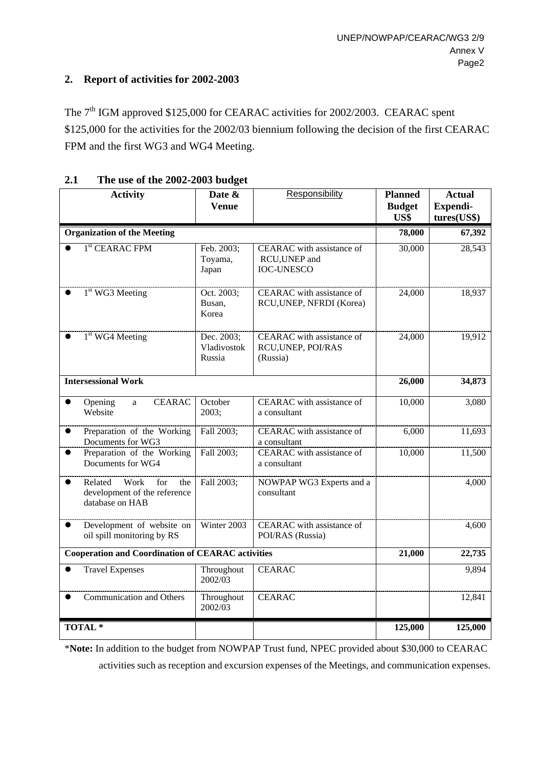## **2. Report of activities for 2002-2003**

The 7<sup>th</sup> IGM approved \$125,000 for CEARAC activities for 2002/2003. CEARAC spent \$125,000 for the activities for the 2002/03 biennium following the decision of the first CEARAC FPM and the first WG3 and WG4 Meeting.

| <b>Activity</b>                                                               | Date &<br><b>Venue</b>              | Responsibility                                                     | <b>Planned</b><br><b>Budget</b><br>US\$ | <b>Actual</b><br><b>Expendi-</b><br>tures(US\$) |
|-------------------------------------------------------------------------------|-------------------------------------|--------------------------------------------------------------------|-----------------------------------------|-------------------------------------------------|
| <b>Organization of the Meeting</b>                                            |                                     |                                                                    |                                         | 67,392                                          |
| 1 <sup>st</sup> CEARAC FPM                                                    | Feb. 2003;<br>Toyama,<br>Japan      | CEARAC with assistance of<br>RCU, UNEP and<br><b>IOC-UNESCO</b>    | 30,000                                  | 28,543                                          |
| $1st$ WG3 Meeting                                                             | Oct. 2003;<br>Busan,<br>Korea       | CEARAC with assistance of<br>RCU, UNEP, NFRDI (Korea)              | 24,000                                  | 18,937                                          |
| 1 <sup>st</sup> WG4 Meeting                                                   | Dec. 2003;<br>Vladivostok<br>Russia | <b>CEARAC</b> with assistance of<br>RCU, UNEP, POI/RAS<br>(Russia) | 24,000                                  | 19,912                                          |
| <b>Intersessional Work</b>                                                    |                                     |                                                                    |                                         | 34,873                                          |
| <b>CEARAC</b><br>Opening<br>$\bullet$<br>a<br>Website                         | October<br>2003;                    | CEARAC with assistance of<br>a consultant                          | 10,000                                  | 3,080                                           |
| Preparation of the Working<br>$\bullet$<br>Documents for WG3                  | Fall 2003;                          | CEARAC with assistance of<br>a consultant                          | 6,000                                   | 11,693                                          |
| Preparation of the Working<br>Documents for WG4                               | Fall 2003;                          | CEARAC with assistance of<br>a consultant                          | 10,000                                  | 11,500                                          |
| Related Work<br>for<br>the<br>development of the reference<br>database on HAB | Fall 2003;                          | NOWPAP WG3 Experts and a<br>consultant                             |                                         | 4,000                                           |
| Development of website on<br>oil spill monitoring by RS                       | Winter 2003                         | CEARAC with assistance of<br>POI/RAS (Russia)                      |                                         | 4,600                                           |
| <b>Cooperation and Coordination of CEARAC activities</b>                      |                                     |                                                                    |                                         | 22,735                                          |
| <b>Travel Expenses</b>                                                        | Throughout<br>2002/03               | <b>CEARAC</b>                                                      |                                         | 9,894                                           |
| Communication and Others                                                      | Throughout<br>2002/03               | <b>CEARAC</b>                                                      |                                         | 12,841                                          |
| <b>TOTAL*</b>                                                                 |                                     |                                                                    | 125,000                                 | 125,000                                         |

## **2.1 The use of the 2002-2003 budget**

\***Note:** In addition to the budget from NOWPAP Trust fund, NPEC provided about \$30,000 to CEARAC activities such as reception and excursion expenses of the Meetings, and communication expenses.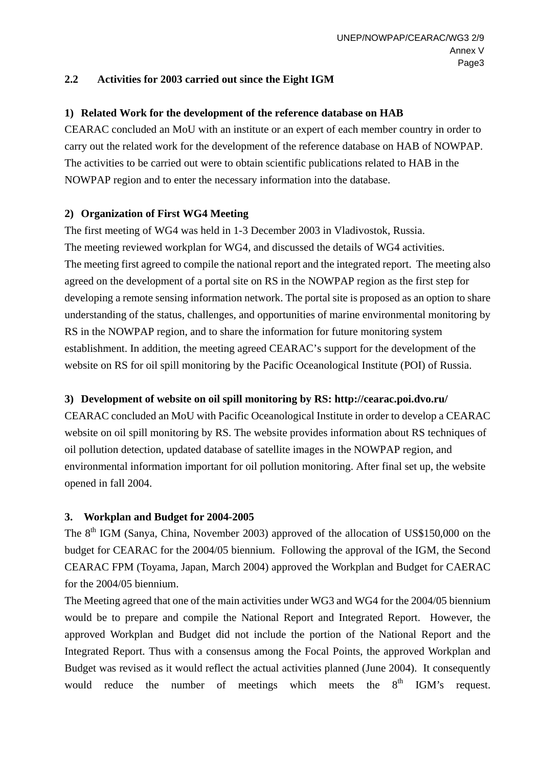## **2.2 Activities for 2003 carried out since the Eight IGM**

## **1) Related Work for the development of the reference database on HAB**

CEARAC concluded an MoU with an institute or an expert of each member country in order to carry out the related work for the development of the reference database on HAB of NOWPAP. The activities to be carried out were to obtain scientific publications related to HAB in the NOWPAP region and to enter the necessary information into the database.

## **2) Organization of First WG4 Meeting**

The first meeting of WG4 was held in 1-3 December 2003 in Vladivostok, Russia. The meeting reviewed workplan for WG4, and discussed the details of WG4 activities. The meeting first agreed to compile the national report and the integrated report. The meeting also agreed on the development of a portal site on RS in the NOWPAP region as the first step for developing a remote sensing information network. The portal site is proposed as an option to share understanding of the status, challenges, and opportunities of marine environmental monitoring by RS in the NOWPAP region, and to share the information for future monitoring system establishment. In addition, the meeting agreed CEARAC's support for the development of the website on RS for oil spill monitoring by the Pacific Oceanological Institute (POI) of Russia.

## **3) Development of website on oil spill monitoring by RS:<http://cearac.poi.dvo.ru/>**

CEARAC concluded an MoU with Pacific Oceanological Institute in order to develop a CEARAC website on oil spill monitoring by RS. The website provides information about RS techniques of oil pollution detection, updated database of satellite images in the NOWPAP region, and environmental information important for oil pollution monitoring. After final set up, the website opened in fall 2004.

## **3. Workplan and Budget for 2004-2005**

The  $8<sup>th</sup>$  IGM (Sanya, China, November 2003) approved of the allocation of US\$150,000 on the budget for CEARAC for the 2004/05 biennium. Following the approval of the IGM, the Second CEARAC FPM (Toyama, Japan, March 2004) approved the Workplan and Budget for CAERAC for the 2004/05 biennium.

The Meeting agreed that one of the main activities under WG3 and WG4 for the 2004/05 biennium would be to prepare and compile the National Report and Integrated Report. However, the approved Workplan and Budget did not include the portion of the National Report and the Integrated Report. Thus with a consensus among the Focal Points, the approved Workplan and Budget was revised as it would reflect the actual activities planned (June 2004). It consequently would reduce the number of meetings which meets the  $8<sup>th</sup>$  IGM's request.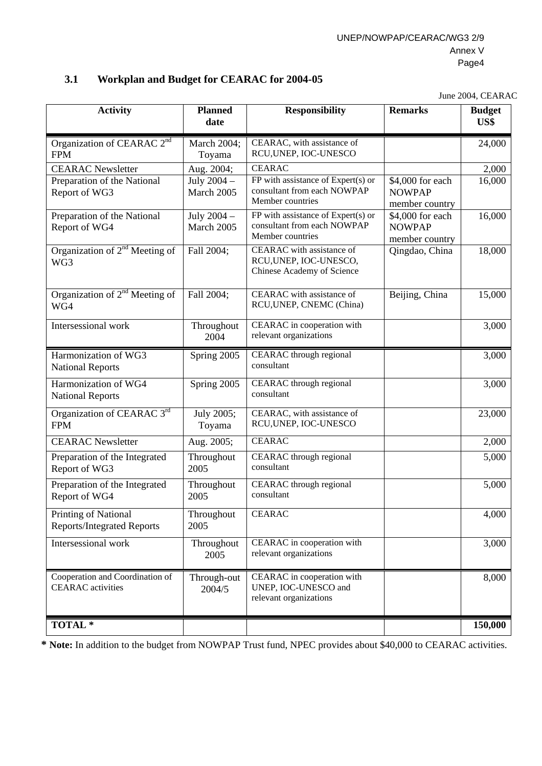## **3.1 Workplan and Budget for CEARAC for 2004-05**

June 2004, CEARAC

| <b>Activity</b>                                             | <b>Planned</b><br>date    | <b>Responsibility</b>                                                                 | <b>Remarks</b>                                      | <b>Budget</b><br>US\$ |
|-------------------------------------------------------------|---------------------------|---------------------------------------------------------------------------------------|-----------------------------------------------------|-----------------------|
| Organization of CEARAC 2nd<br><b>FPM</b>                    | March 2004;<br>Toyama     | CEARAC, with assistance of<br>RCU, UNEP, IOC-UNESCO                                   |                                                     | 24,000                |
| <b>CEARAC</b> Newsletter                                    | Aug. 2004;                | <b>CEARAC</b>                                                                         |                                                     | 2,000                 |
| Preparation of the National<br>Report of WG3                | July 2004 -<br>March 2005 | FP with assistance of Expert(s) or<br>consultant from each NOWPAP<br>Member countries | \$4,000 for each<br><b>NOWPAP</b><br>member country | 16,000                |
| Preparation of the National<br>Report of WG4                | July 2004 -<br>March 2005 | FP with assistance of Expert(s) or<br>consultant from each NOWPAP<br>Member countries | \$4,000 for each<br><b>NOWPAP</b><br>member country | 16,000                |
| Organization of 2 <sup>nd</sup> Meeting of<br>WG3           | Fall 2004;                | CEARAC with assistance of<br>RCU, UNEP, IOC-UNESCO,<br>Chinese Academy of Science     | Qingdao, China                                      | 18,000                |
| Organization of $2nd$ Meeting of<br>WG4                     | Fall 2004;                | CEARAC with assistance of<br>RCU, UNEP, CNEMC (China)                                 | Beijing, China                                      | 15,000                |
| Intersessional work                                         | Throughout<br>2004        | CEARAC in cooperation with<br>relevant organizations                                  |                                                     | 3,000                 |
| Harmonization of WG3<br><b>National Reports</b>             | Spring 2005               | CEARAC through regional<br>consultant                                                 |                                                     | 3,000                 |
| Harmonization of WG4<br><b>National Reports</b>             | Spring 2005               | CEARAC through regional<br>consultant                                                 |                                                     | 3,000                 |
| Organization of CEARAC 3rd<br><b>FPM</b>                    | July 2005;<br>Toyama      | CEARAC, with assistance of<br>RCU, UNEP, IOC-UNESCO                                   |                                                     | 23,000                |
| <b>CEARAC</b> Newsletter                                    | Aug. 2005;                | <b>CEARAC</b>                                                                         |                                                     | 2,000                 |
| Preparation of the Integrated<br>Report of WG3              | Throughout<br>2005        | CEARAC through regional<br>consultant                                                 |                                                     | 5,000                 |
| Preparation of the Integrated<br>Report of WG4              | Throughout<br>2005        | CEARAC through regional<br>consultant                                                 |                                                     | 5,000                 |
| Printing of National<br><b>Reports/Integrated Reports</b>   | Throughout<br>2005        | <b>CEARAC</b>                                                                         |                                                     | 4,000                 |
| Intersessional work                                         | Throughout<br>2005        | CEARAC in cooperation with<br>relevant organizations                                  |                                                     | 3,000                 |
| Cooperation and Coordination of<br><b>CEARAC</b> activities | Through-out<br>2004/5     | CEARAC in cooperation with<br>UNEP, IOC-UNESCO and<br>relevant organizations          |                                                     | 8,000                 |
| TOTAL <sup>*</sup>                                          |                           |                                                                                       |                                                     | 150,000               |

**\* Note:** In addition to the budget from NOWPAP Trust fund, NPEC provides about \$40,000 to CEARAC activities.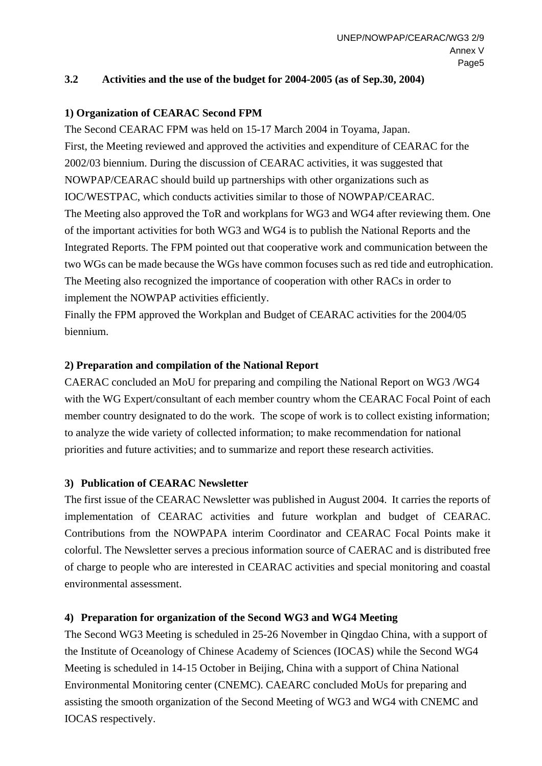## **3.2 Activities and the use of the budget for 2004-2005 (as of Sep.30, 2004)**

## **1) Organization of CEARAC Second FPM**

The Second CEARAC FPM was held on 15-17 March 2004 in Toyama, Japan. First, the Meeting reviewed and approved the activities and expenditure of CEARAC for the 2002/03 biennium. During the discussion of CEARAC activities, it was suggested that NOWPAP/CEARAC should build up partnerships with other organizations such as IOC/WESTPAC, which conducts activities similar to those of NOWPAP/CEARAC. The Meeting also approved the ToR and workplans for WG3 and WG4 after reviewing them. One of the important activities for both WG3 and WG4 is to publish the National Reports and the Integrated Reports. The FPM pointed out that cooperative work and communication between the two WGs can be made because the WGs have common focuses such as red tide and eutrophication. The Meeting also recognized the importance of cooperation with other RACs in order to implement the NOWPAP activities efficiently.

Finally the FPM approved the Workplan and Budget of CEARAC activities for the 2004/05 biennium.

## **2) Preparation and compilation of the National Report**

CAERAC concluded an MoU for preparing and compiling the National Report on WG3 /WG4 with the WG Expert/consultant of each member country whom the CEARAC Focal Point of each member country designated to do the work. The scope of work is to collect existing information; to analyze the wide variety of collected information; to make recommendation for national priorities and future activities; and to summarize and report these research activities.

## **3) Publication of CEARAC Newsletter**

The first issue of the CEARAC Newsletter was published in August 2004. It carries the reports of implementation of CEARAC activities and future workplan and budget of CEARAC. Contributions from the NOWPAPA interim Coordinator and CEARAC Focal Points make it colorful. The Newsletter serves a precious information source of CAERAC and is distributed free of charge to people who are interested in CEARAC activities and special monitoring and coastal environmental assessment.

## **4) Preparation for organization of the Second WG3 and WG4 Meeting**

The Second WG3 Meeting is scheduled in 25-26 November in Qingdao China, with a support of the Institute of Oceanology of Chinese Academy of Sciences (IOCAS) while the Second WG4 Meeting is scheduled in 14-15 October in Beijing, China with a support of China National Environmental Monitoring center (CNEMC). CAEARC concluded MoUs for preparing and assisting the smooth organization of the Second Meeting of WG3 and WG4 with CNEMC and IOCAS respectively.